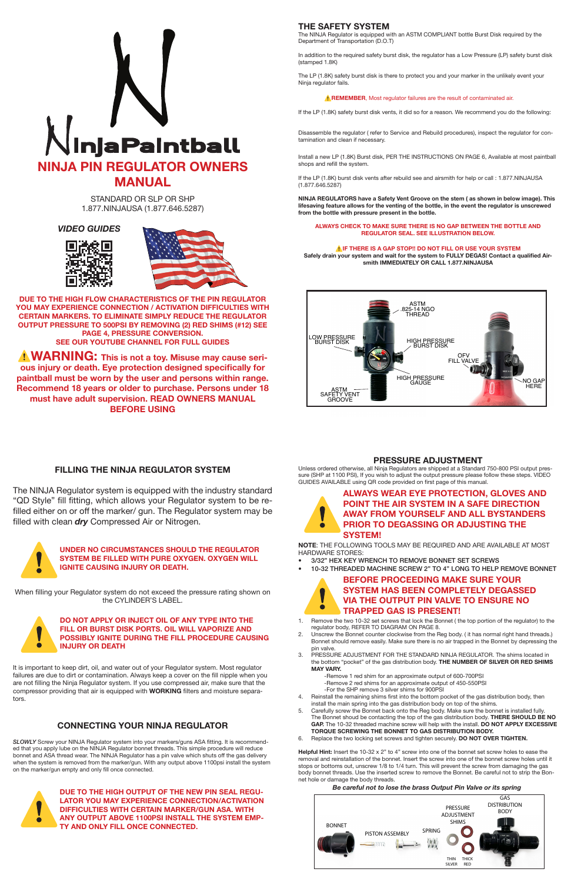

STANDARD OR SLP OR SHP 1.877.NINJAUSA (1.877.646.5287)

**DUE TO THE HIGH FLOW CHARACTERISTICS OF THE PIN REGULATOR YOU MAY EXPERIENCE CONNECTION / ACTIVATION DIFFICULTIES WITH CERTAIN MARKERS. TO ELIMINATE SIMPLY REDUCE THE REGULATOR OUTPUT PRESSURE TO 500PSI BY REMOVING (2) RED SHIMS (#12) SEE PAGE 4, PRESSURE CONVERSION. SEE OUR YOUTUBE CHANNEL FOR FULL GUIDES**

*A* **WARNING:** This is not a toy. Misuse may cause seri**ous injury or death. Eye protection designed specifically for paintball must be worn by the user and persons within range. Recommend 18 years or older to purchase. Persons under 18 must have adult supervision. READ OWNERS MANUAL BEFORE USING**

### *VIDEO GUIDES*





# **THE SAFETY SYSTEM**

The NINJA Regulator is equipped with an ASTM COMPLIANT bottle Burst Disk required by the Department of Transportation (D.O.T)

In addition to the required safety burst disk, the regulator has a Low Pressure (LP) safety burst disk (stamped 1.8K)

The LP (1.8K) safety burst disk is there to protect you and your marker in the unlikely event your Ninja regulator fails.

### **A REMEMBER**, Most regulator failures are the result of contaminated air.

If the LP (1.8K) safety burst disk vents, it did so for a reason. We recommend you do the following:

Disassemble the regulator ( refer to Service and Rebuild procedures), inspect the regulator for contamination and clean if necessary.

### UNDER NO CIRCUMSTANCES SHOULD THE REGULATOR<br>SYSTEM BE FILLED WITH PURE OXYGEN. OXYGEN WILL<br>IGNITE CAUSING INJURY OR DEATH. **SYSTEM BE FILLED WITH PURE OXYGEN. OXYGEN WILL IGNITE CAUSING INJURY OR DEATH.**

Install a new LP (1.8K) Burst disk, PER THE INSTRUCTIONS ON PAGE 6, Available at most paintball shops and refill the system.

DO NOT APPLY OR INJECT OIL OF ANY TYPE INTO THE FILL OR BURST DISK PORTS. OIL WILL VAPORIZE AND POSSIBLY IGNITE DURING THE FILL PROCEDURE CAUS<br>INJURY OR DEATH **FILL OR BURST DISK PORTS. OIL WILL VAPORIZE AND POSSIBLY IGNITE DURING THE FILL PROCEDURE CAUSING INJURY OR DEATH**

If the LP (1.8K) burst disk vents after rebuild see and airsmith for help or call : 1.877.NINJAUSA (1.877.646.5287)

**NINJA REGULATORS have a Safety Vent Groove on the stem ( as shown in below image). This lifesaving feature allows for the venting of the bottle, in the event the regulator is unscrewed from the bottle with pressure present in the bottle.**

### **ALWAYS CHECK TO MAKE SURE THERE IS NO GAP BETWEEN THE BOTTLE AND REGULATOR SEAL. SEE ILLUSTRATION BELOW.**

DUE TO THE HIGH OUTPUT OF THE NEW PIN SEAL REGU-<br>LATOR YOU MAY EXPERIENCE CONNECTION/ACTIVATION<br>DIFFICULTIES WITH CERTAIN MARKER/GUN ASA. WITH<br>ANY OUTPUT ABOVE 1100PSI INSTALL THE SYSTEM EMP-<br>TY AND ONLY FILL ONCE CONNECTE **LATOR YOU MAY EXPERIENCE CONNECTION/ACTIVATION DIFFICULTIES WITH CERTAIN MARKER/GUN ASA. WITH TY AND ONLY FILL ONCE CONNECTED.**

### ⚠**IF THERE IS A GAP STOP!! DO NOT FILL OR USE YOUR SYSTEM Safely drain your system and wait for the system to FULLY DEGAS! Contact a qualified Airsmith IMMEDIATELY OR CALL 1.877.NINJAUSA**



# **ALWAYS WEAR EYE PROTECTION, GLOVES AND POINT THE AIR SYSTEM IN A SAFE DIRECTION<br>AWAY FROM YOURSELF AND ALL BYSTANDERS<br>PRIOR TO DEGASSING OR ADJUSTING THE<br>AVAILABLE AND OVERFORM POINT THE AIR SYSTEM IN A SAFE DIRECTION AWAY FROM YOURSELF AND ALL BYSTANDERS SYSTEM!**

# **FILLING THE NINJA REGULATOR SYSTEM**

# BEFORE PROCEEDING MAKE SURE YOUR<br>SYSTEM HAS BEEN COMPLETELY DEGASS<br>VIA THE OUTPUT PIN VALVE TO ENSURE N'<br>TRAPPED GAS IS PRESENT! **SYSTEM HAS BEEN COMPLETELY DEGASSED VIA THE OUTPUT PIN VALVE TO ENSURE NO TRAPPED GAS IS PRESENT!**

The NINJA Regulator system is equipped with the industry standard "QD Style" fill fitting, which allows your Regulator system to be refilled either on or off the marker/ gun. The Regulator system may be filled with clean *dry* Compressed Air or Nitrogen.



When filling your Regulator system do not exceed the pressure rating shown on the CYLINDER'S LABEL.



It is important to keep dirt, oil, and water out of your Regulator system. Most regulator failures are due to dirt or contamination. Always keep a cover on the fill nipple when you are not filling the Ninja Regulator system. If you use compressed air, make sure that the compressor providing that air is equipped with **WORKING** filters and moisture separators.

> **Helpful Hint:** Insert the 10-32 x 2" to 4" screw into one of the bonnet set screw holes to ease the removal and reinstallation of the bonnet. Insert the screw into one of the bonnet screw holes until it stops or bottoms out, unscrew 1/8 to 1/4 turn. This will prevent the screw from damaging the gas body bonnet threads. Use the inserted screw to remove the Bonnet. Be careful not to strip the Bonnet hole or damage the body threads.

## **CONNECTING YOUR NINJA REGULATOR**

*SLOWLY* Screw your NINJA Regulator system into your markers/guns ASA fitting. It is recommended that you apply lube on the NINJA Regulator bonnet threads. This simple procedure will reduce bonnet and ASA thread wear. The NINJA Regulator has a pin valve which shuts off the gas delivery when the system is removed from the marker/gun. With any output above 1100psi install the system on the marker/gun empty and only fill once connected.



# **PRESSURE ADJUSTMENT**

Unless ordered otherwise, all Ninja Regulators are shipped at a Standard 750-800 PSI output pressure (SHP at 1100 PSI), If you wish to adjust the output pressure please follow these steps. VIDEO GUIDES AVAILABLE using QR code provided on first page of this manual.

**NOTE**: THE FOLLOWING TOOLS MAY BE REQUIRED AND ARE AVAILABLE AT MOST HARDWARE STORES:

• 3/32" HEX KEY WRENCH TO REMOVE BONNET SET SCREWS

# • 10-32 THREADED MACHINE SCREW 2" TO 4" LONG TO HELP REMOVE BONNET

- 1. Remove the two 10-32 set screws that lock the Bonnet ( the top portion of the regulator) to the regulator body, REFER TO DIAGRAM ON PAGE 8.
- Unscrew the Bonnet counter clockwise from the Reg body. ( it has normal right hand threads.) Bonnet should remove easily. Make sure there is no air trapped in the Bonnet by depressing the

- pin valve.
- PRESSURE ADJUSTMENT FOR THE STANDARD NINJA REGULATOR. The shims located in the bottom "pocket" of the gas distribution body. **THE NUMBER OF SILVER OR RED SHIMS MAY VARY.**
	- -Remove 1 red shim for an approximate output of 600-700PSI -Remove 2 red shims for an approximate output of 450-550PSI -For the SHP remove 3 silver shims for 900PSI
- 4. Reinstall the remaining shims first into the bottom pocket of the gas distribution body, then install the main spring into the gas distribution body on top of the shims.
- 5. Carefully screw the Bonnet back onto the Reg body. Make sure the bonnet is installed fully. The Bonnet shoud be contacting the top of the gas distribution body. **THERE SHOULD BE NO GAP.** The 10-32 threaded machine screw will help with the install. **DO NOT APPLY EXCESSIVE TORQUE SCREWING THE BONNET TO GAS DISTRIBUTION BODY.**
- 6. Replace the two locking set screws and tighten securely. **DO NOT OVER TIGHTEN.**

### *Be careful not to lose the brass Output Pin Valve or its spring*